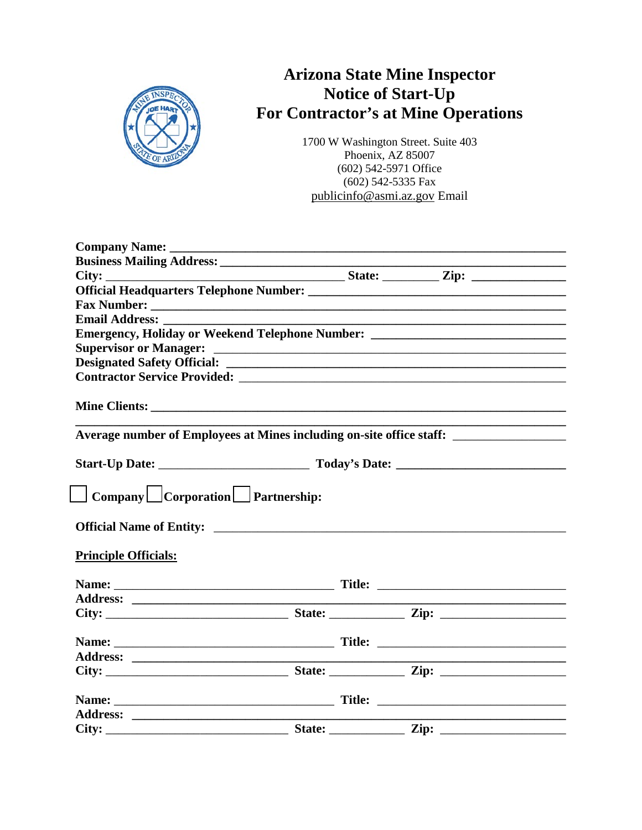$\begin{array}{ccccccccccccc} \Box & & \Box & & \Box & & \Box \end{array}$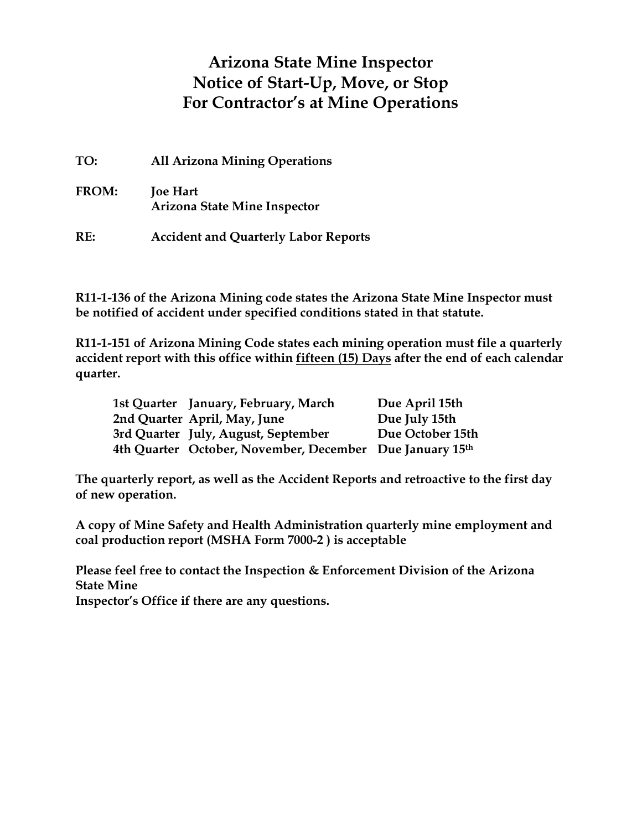## **Arizona State Mine Inspector Notice of Start-Up, Move, or Stop for Contractor's at Mine Operations**

| TO:          | <b>All Arizona Mining Operations</b>              |
|--------------|---------------------------------------------------|
| <b>FROM:</b> | Paul Marsh<br><b>Arizona State Mine Inspector</b> |
| RE:          | <b>Accident and Quarterly Labor Reports</b>       |

**R11-1-136 of the Arizona Mining code states the Arizona State Mine Inspector must be notified of accident under specified conditions stated in that statute.**

**R11-1-151 of Arizona Mining Code states each mining operation must file a quarterly accident report with this office within fifteen (15) Days after the end of each calendar quarter.**

| 1st Quarter January, February, March                     | Due April 15th   |
|----------------------------------------------------------|------------------|
| 2nd Quarter April, May, June                             | Due July 15th    |
| 3rd Quarter July, August, September                      | Due October 15th |
| 4th Quarter October, November, December Due January 15th |                  |

**The quarterly report, as well as the Accident Reports and retroactive to the first day of new operation.**

**A copy of Mine Safety and Health Administration quarterly mine employment and coal production report (MSHA Form 7000-2 ) is acceptable**

**Please feel free to contact the Inspection & Enforcement Division of the Arizona State Mine**

**Inspector's Office if there are any questions.**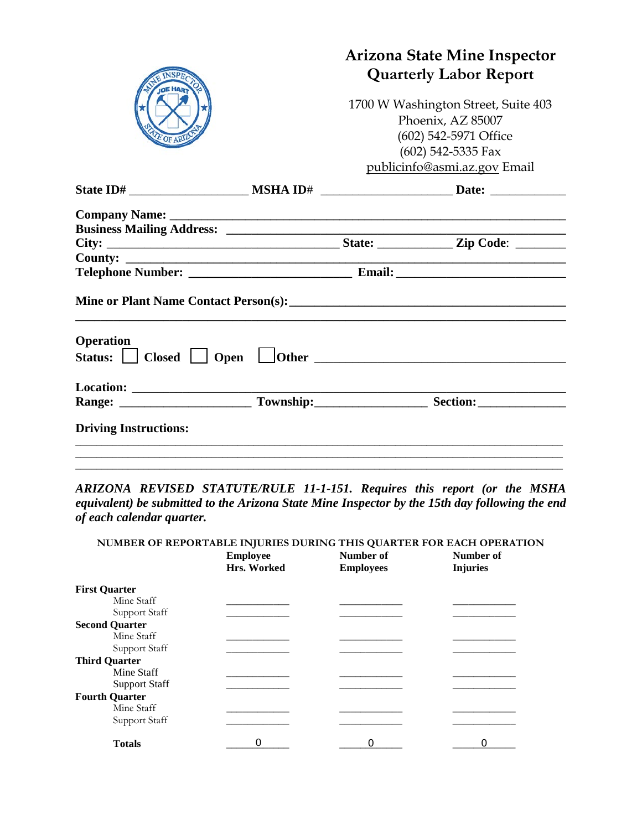|                              |                                                                                   | <b>Arizona State Mine Inspector</b><br><b>Quarterly Labor Report</b>                                           |  |
|------------------------------|-----------------------------------------------------------------------------------|----------------------------------------------------------------------------------------------------------------|--|
| ATE OF ARILO                 | 1700 W Washington Street, Suite 403<br>Phoenix, AZ 85007<br>(602) 542-5971 Office |                                                                                                                |  |
|                              |                                                                                   | $(602)$ 542-5335 Fax                                                                                           |  |
|                              |                                                                                   | publicinfo@asmi.az.gov Email                                                                                   |  |
|                              |                                                                                   |                                                                                                                |  |
|                              |                                                                                   |                                                                                                                |  |
|                              |                                                                                   |                                                                                                                |  |
|                              |                                                                                   |                                                                                                                |  |
|                              |                                                                                   |                                                                                                                |  |
|                              |                                                                                   |                                                                                                                |  |
| <b>Operation</b>             |                                                                                   | Status: Status: Status: Status: Status: Status: Status: Status: Status: Status: Status: Status: Status: Status |  |
|                              |                                                                                   |                                                                                                                |  |
|                              |                                                                                   |                                                                                                                |  |
| <b>Driving Instructions:</b> |                                                                                   |                                                                                                                |  |
|                              |                                                                                   |                                                                                                                |  |
|                              |                                                                                   |                                                                                                                |  |

*ARIZONA REVISED STATUTE/RULE 11-1-151. Requires this report (or the MSHA equivalent) be submitted to the Arizona State Mine Inspector by the 15th day following the end of each calendar quarter.* 

|                       |                 |                  | NUMBER OF REPORTABLE INJURIES DURING THIS QUARTER FOR EACH OPERATION |
|-----------------------|-----------------|------------------|----------------------------------------------------------------------|
|                       | <b>Employee</b> | Number of        | Number of                                                            |
|                       | Hrs. Worked     | <b>Employees</b> | <b>Lost Times</b>                                                    |
| <b>First Quarter</b>  |                 |                  |                                                                      |
| Mine Staff            |                 |                  |                                                                      |
| Support Staff         |                 |                  |                                                                      |
| <b>Second Quarter</b> |                 |                  |                                                                      |
| Mine Staff            |                 |                  |                                                                      |
| Support Staff         |                 |                  |                                                                      |
| <b>Third Quarter</b>  |                 |                  |                                                                      |
| Mine Staff            |                 |                  |                                                                      |
| <b>Support Staff</b>  |                 |                  |                                                                      |
| <b>Fourth Quarter</b> |                 |                  |                                                                      |
| Mine Staff            |                 |                  |                                                                      |
| Support Staff         |                 |                  |                                                                      |
| <b>Totals</b>         |                 |                  |                                                                      |